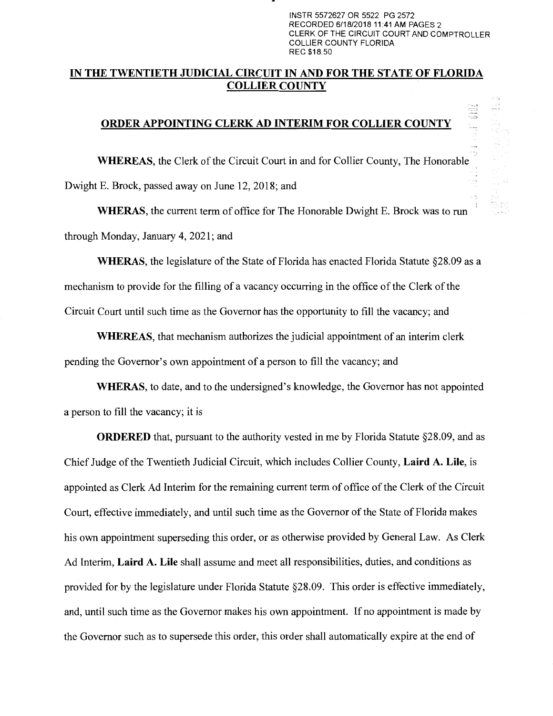INSTR 5572627 OR 5522 PG 2572 RECORDED 6/18/2018 11:41 AM PAGES 2 CLERK OF THE CIRCUIT COURT AND COMPTROLLER COLLIER COUNTY FLORIDA REC \$18.50

## **IN THE TWENTIETH JUDICIAL CIRCUIT IN AND FOR THE STATE OF FLORIDA COLLIER COUNTY**

## **ORDER APPOINTING CLERK AD INTERIM FOR COLLIER COUNTY**

**WHEREAS,** the Clerk of the Circuit Court in and for Collier County, The Honorable Dwight E. Brock, passed away on June 12, 2018; and

**WHERAS,** the current term of office for The Honorable Dwight E. Brock was to run through Monday, January 4, 2021; and

**WHERAS,** the legislature of the State of Florida has enacted Florida Statute §28.09 as a mechanism to provide for the filling of a vacancy occurring in the office of the Clerk of the Circuit Court until such time as the Governor has the opportunity to fill the vacancy; and

**WHEREAS,** that mechanism authorizes the judicial appointment of an interim clerk pending the Governor's own appointment of a person to fill the vacancy; and

**WHERAS,** to date, and to the undersigned's knowledge, the Governor has not appointed a person to fill the vacancy; it is

**ORDERED** that, pursuant to the authority vested in me by Florida Statute §28.09, and as Chief Judge of the Twentieth Judicial Circuit, which includes Collier County, **Laird A. Lile,** is appointed as Clerk Ad Interim for the remaining current term of office of the Clerk of the Circuit Court, effective immediately, and until such time as the Governor of the State of Florida makes his own appointment superseding this order, or as otherwise provided by General Law. As Clerk Ad Interim, **Laird A. Lile** shall assume and meet all responsibilities, duties, and conditions as provided for by the legislature under Florida Statute §28.09. This order is effective immediately, and, until such time as the Governor makes his own appointment. If no appointment is made by the Governor such as to supersede this order, this order shall automatically expire at the end of